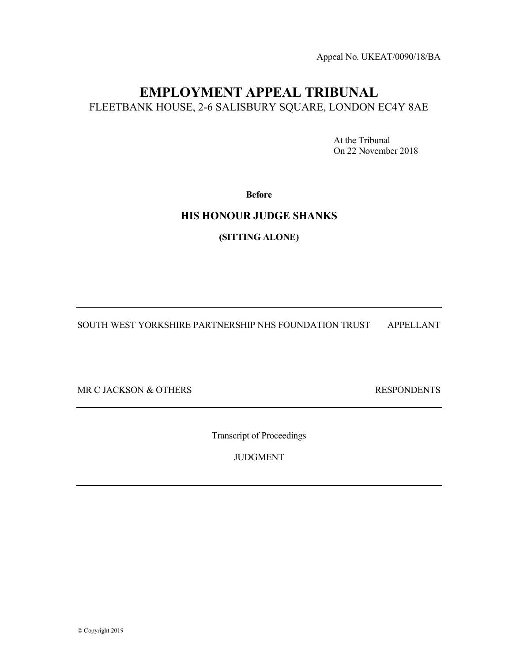Appeal No. UKEAT/0090/18/BA

# EMPLOYMENT APPEAL TRIBUNAL FLEETBANK HOUSE, 2-6 SALISBURY SQUARE, LONDON EC4Y 8AE

 At the Tribunal On 22 November 2018

Before

### HIS HONOUR JUDGE SHANKS

(SITTING ALONE)

SOUTH WEST YORKSHIRE PARTNERSHIP NHS FOUNDATION TRUST APPELLANT

MR C JACKSON & OTHERS RESPONDENTS

Transcript of Proceedings

JUDGMENT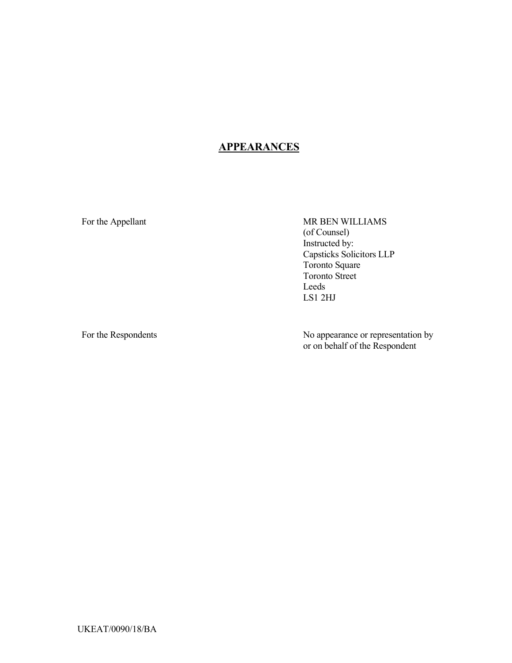## **APPEARANCES**

For the Appellant MR BEN WILLIAMS (of Counsel) Instructed by: Capsticks Solicitors LLP Toronto Square Toronto Street Leeds LS1 2HJ

For the Respondents No appearance or representation by or on behalf of the Respondent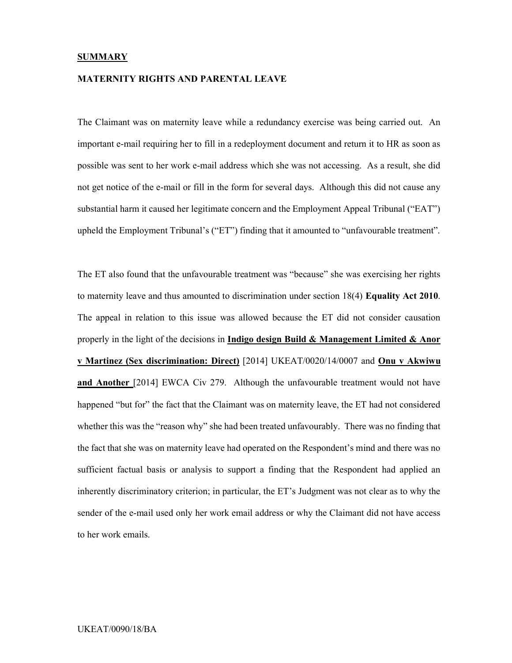#### **SUMMARY**

#### MATERNITY RIGHTS AND PARENTAL LEAVE

The Claimant was on maternity leave while a redundancy exercise was being carried out. An important e-mail requiring her to fill in a redeployment document and return it to HR as soon as possible was sent to her work e-mail address which she was not accessing. As a result, she did not get notice of the e-mail or fill in the form for several days. Although this did not cause any substantial harm it caused her legitimate concern and the Employment Appeal Tribunal ("EAT") upheld the Employment Tribunal's ("ET") finding that it amounted to "unfavourable treatment".

The ET also found that the unfavourable treatment was "because" she was exercising her rights to maternity leave and thus amounted to discrimination under section 18(4) Equality Act 2010. The appeal in relation to this issue was allowed because the ET did not consider causation properly in the light of the decisions in Indigo design Build  $\&$  Management Limited  $\&$  Anor v Martinez (Sex discrimination: Direct) [2014] UKEAT/0020/14/0007 and Onu v Akwiwu and Another [2014] EWCA Civ 279. Although the unfavourable treatment would not have happened "but for" the fact that the Claimant was on maternity leave, the ET had not considered whether this was the "reason why" she had been treated unfavourably. There was no finding that the fact that she was on maternity leave had operated on the Respondent's mind and there was no sufficient factual basis or analysis to support a finding that the Respondent had applied an inherently discriminatory criterion; in particular, the ET's Judgment was not clear as to why the sender of the e-mail used only her work email address or why the Claimant did not have access to her work emails.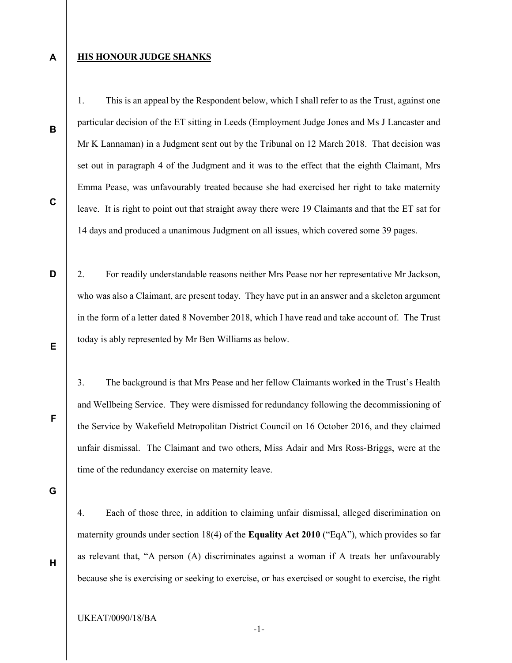#### **HIS HONOUR JUDGE SHANKS**

1. This is an appeal by the Respondent below, which I shall refer to as the Trust, against one particular decision of the ET sitting in Leeds (Employment Judge Jones and Ms J Lancaster and Mr K Lannaman) in a Judgment sent out by the Tribunal on 12 March 2018. That decision was set out in paragraph 4 of the Judgment and it was to the effect that the eighth Claimant, Mrs Emma Pease, was unfavourably treated because she had exercised her right to take maternity leave. It is right to point out that straight away there were 19 Claimants and that the ET sat for 14 days and produced a unanimous Judgment on all issues, which covered some 39 pages.

2. For readily understandable reasons neither Mrs Pease nor her representative Mr Jackson, who was also a Claimant, are present today. They have put in an answer and a skeleton argument in the form of a letter dated 8 November 2018, which I have read and take account of. The Trust today is ably represented by Mr Ben Williams as below.

3. The background is that Mrs Pease and her fellow Claimants worked in the Trust's Health and Wellbeing Service. They were dismissed for redundancy following the decommissioning of the Service by Wakefield Metropolitan District Council on 16 October 2016, and they claimed unfair dismissal. The Claimant and two others, Miss Adair and Mrs Ross-Briggs, were at the time of the redundancy exercise on maternity leave.

G

4. Each of those three, in addition to claiming unfair dismissal, alleged discrimination on maternity grounds under section 18(4) of the Equality Act 2010 ("EqA"), which provides so far as relevant that, "A person (A) discriminates against a woman if A treats her unfavourably because she is exercising or seeking to exercise, or has exercised or sought to exercise, the right

UKEAT/0090/18/BA

C

D

B

A

E

F

H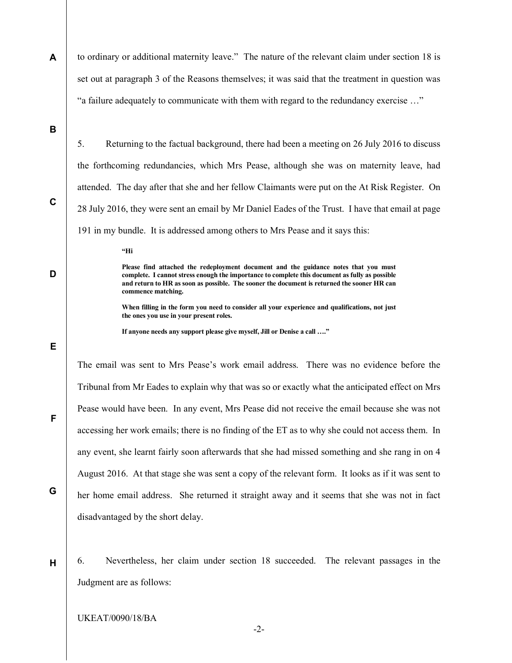A to ordinary or additional maternity leave." The nature of the relevant claim under section 18 is set out at paragraph 3 of the Reasons themselves; it was said that the treatment in question was "a failure adequately to communicate with them with regard to the redundancy exercise …"

B

C

D

E

F

G

H

5. Returning to the factual background, there had been a meeting on 26 July 2016 to discuss the forthcoming redundancies, which Mrs Pease, although she was on maternity leave, had attended. The day after that she and her fellow Claimants were put on the At Risk Register. On 28 July 2016, they were sent an email by Mr Daniel Eades of the Trust. I have that email at page 191 in my bundle. It is addressed among others to Mrs Pease and it says this:

"Hi

Please find attached the redeployment document and the guidance notes that you must complete. I cannot stress enough the importance to complete this document as fully as possible and return to HR as soon as possible. The sooner the document is returned the sooner HR can commence matching.

When filling in the form you need to consider all your experience and qualifications, not just the ones you use in your present roles.

If anyone needs any support please give myself, Jill or Denise a call …."

The email was sent to Mrs Pease's work email address. There was no evidence before the Tribunal from Mr Eades to explain why that was so or exactly what the anticipated effect on Mrs Pease would have been. In any event, Mrs Pease did not receive the email because she was not accessing her work emails; there is no finding of the ET as to why she could not access them. In any event, she learnt fairly soon afterwards that she had missed something and she rang in on 4 August 2016. At that stage she was sent a copy of the relevant form. It looks as if it was sent to her home email address. She returned it straight away and it seems that she was not in fact disadvantaged by the short delay.

6. Nevertheless, her claim under section 18 succeeded. The relevant passages in the Judgment are as follows:

UKEAT/0090/18/BA

-2-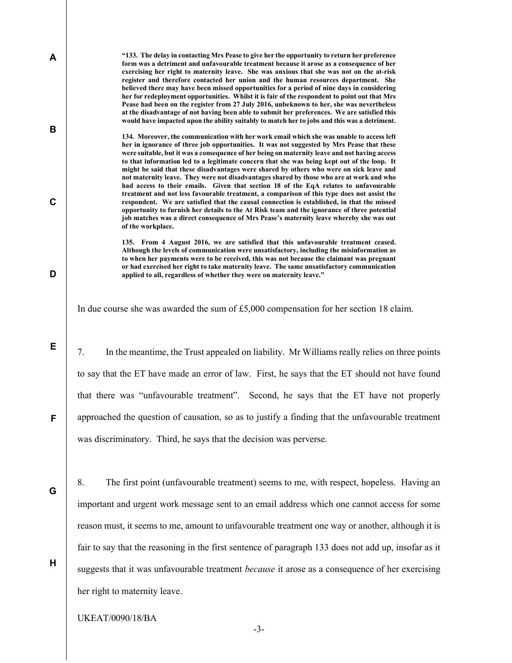"133. The delay in contacting Mrs Pease to give her the opportunity to return her preference form was a detriment and unfavourable treatment because it arose as a consequence of her exercising her right to maternity leave. She was anxious that she was not on the at-risk register and therefore contacted her union and the human resources department. She believed there may have been missed opportunities for a period of nine days in considering her for redeployment opportunities. Whilst it is fair of the respondent to point out that Mrs Pease had been on the register from 27 July 2016, unbeknown to her, she was nevertheless at the disadvantage of not having been able to submit her preferences. We are satisfied this would have impacted upon the ability suitably to match her to jobs and this was a detriment.

134. Moreover, the communication with her work email which she was unable to access left her in ignorance of three job opportunities. It was not suggested by Mrs Pease that these were suitable, but it was a consequence of her being on maternity leave and not having access to that information led to a legitimate concern that she was being kept out of the loop. It might be said that these disadvantages were shared by others who were on sick leave and not maternity leave. They were not disadvantages shared by those who are at work and who had access to their emails. Given that section 18 of the EqA relates to unfavourable treatment and not less favourable treatment, a comparison of this type does not assist the respondent. We are satisfied that the causal connection is established, in that the missed opportunity to furnish her details to the At Risk team and the ignorance of three potential job matches was a direct consequence of Mrs Pease's maternity leave whereby she was out of the workplace.

135. From 4 August 2016, we are satisfied that this unfavourable treatment ceased. Although the levels of communication were unsatisfactory, including the misinformation as to when her payments were to be received, this was not because the claimant was pregnant or had exercised her right to take maternity leave. The same unsatisfactory communication applied to all, regardless of whether they were on maternity leave."

In due course she was awarded the sum of £5,000 compensation for her section 18 claim.

7. In the meantime, the Trust appealed on liability. Mr Williams really relies on three points to say that the ET have made an error of law. First, he says that the ET should not have found that there was "unfavourable treatment". Second, he says that the ET have not properly approached the question of causation, so as to justify a finding that the unfavourable treatment was discriminatory. Third, he says that the decision was perverse.

G

H

A

B

C

D

E

F

8. The first point (unfavourable treatment) seems to me, with respect, hopeless. Having an important and urgent work message sent to an email address which one cannot access for some reason must, it seems to me, amount to unfavourable treatment one way or another, although it is fair to say that the reasoning in the first sentence of paragraph 133 does not add up, insofar as it suggests that it was unfavourable treatment *because* it arose as a consequence of her exercising her right to maternity leave.

UKEAT/0090/18/BA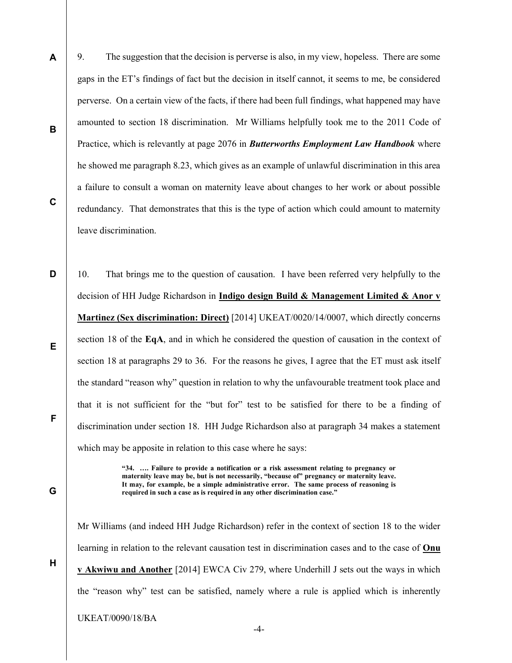9. The suggestion that the decision is perverse is also, in my view, hopeless. There are some gaps in the ET's findings of fact but the decision in itself cannot, it seems to me, be considered perverse. On a certain view of the facts, if there had been full findings, what happened may have amounted to section 18 discrimination. Mr Williams helpfully took me to the 2011 Code of Practice, which is relevantly at page 2076 in **Butterworths Employment Law Handbook** where he showed me paragraph 8.23, which gives as an example of unlawful discrimination in this area a failure to consult a woman on maternity leave about changes to her work or about possible redundancy. That demonstrates that this is the type of action which could amount to maternity leave discrimination.

D F 10. That brings me to the question of causation. I have been referred very helpfully to the decision of HH Judge Richardson in **Indigo design Build & Management Limited & Anor v** Martinez (Sex discrimination: Direct) [2014] UKEAT/0020/14/0007, which directly concerns section 18 of the EqA, and in which he considered the question of causation in the context of section 18 at paragraphs 29 to 36. For the reasons he gives, I agree that the ET must ask itself the standard "reason why" question in relation to why the unfavourable treatment took place and that it is not sufficient for the "but for" test to be satisfied for there to be a finding of discrimination under section 18. HH Judge Richardson also at paragraph 34 makes a statement which may be apposite in relation to this case where he says:

> "34. …. Failure to provide a notification or a risk assessment relating to pregnancy or maternity leave may be, but is not necessarily, "because of" pregnancy or maternity leave. It may, for example, be a simple administrative error. The same process of reasoning is required in such a case as is required in any other discrimination case."

Mr Williams (and indeed HH Judge Richardson) refer in the context of section 18 to the wider learning in relation to the relevant causation test in discrimination cases and to the case of Onu v Akwiwu and Another [2014] EWCA Civ 279, where Underhill J sets out the ways in which the "reason why" test can be satisfied, namely where a rule is applied which is inherently

-4-

UKEAT/0090/18/BA

C

E

G

A

B

H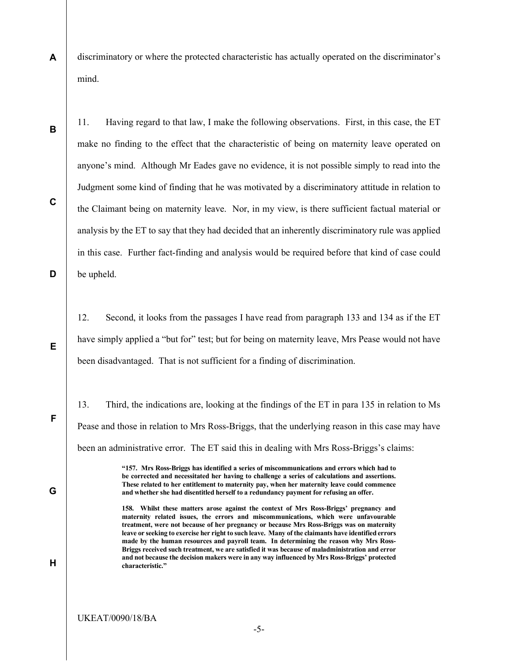A discriminatory or where the protected characteristic has actually operated on the discriminator's mind.

11. Having regard to that law, I make the following observations. First, in this case, the ET make no finding to the effect that the characteristic of being on maternity leave operated on anyone's mind. Although Mr Eades gave no evidence, it is not possible simply to read into the Judgment some kind of finding that he was motivated by a discriminatory attitude in relation to the Claimant being on maternity leave. Nor, in my view, is there sufficient factual material or analysis by the ET to say that they had decided that an inherently discriminatory rule was applied in this case. Further fact-finding and analysis would be required before that kind of case could be upheld.

12. Second, it looks from the passages I have read from paragraph 133 and 134 as if the ET have simply applied a "but for" test; but for being on maternity leave, Mrs Pease would not have been disadvantaged. That is not sufficient for a finding of discrimination.

13. Third, the indications are, looking at the findings of the ET in para 135 in relation to Ms Pease and those in relation to Mrs Ross-Briggs, that the underlying reason in this case may have been an administrative error. The ET said this in dealing with Mrs Ross-Briggs's claims:

> "157. Mrs Ross-Briggs has identified a series of miscommunications and errors which had to be corrected and necessitated her having to challenge a series of calculations and assertions. These related to her entitlement to maternity pay, when her maternity leave could commence and whether she had disentitled herself to a redundancy payment for refusing an offer.

> 158. Whilst these matters arose against the context of Mrs Ross-Briggs' pregnancy and maternity related issues, the errors and miscommunications, which were unfavourable treatment, were not because of her pregnancy or because Mrs Ross-Briggs was on maternity leave or seeking to exercise her right to such leave. Many of the claimants have identified errors made by the human resources and payroll team. In determining the reason why Mrs Ross-Briggs received such treatment, we are satisfied it was because of maladministration and error and not because the decision makers were in any way influenced by Mrs Ross-Briggs' protected characteristic."

> > -5-

C

D

B

E

G

H

F